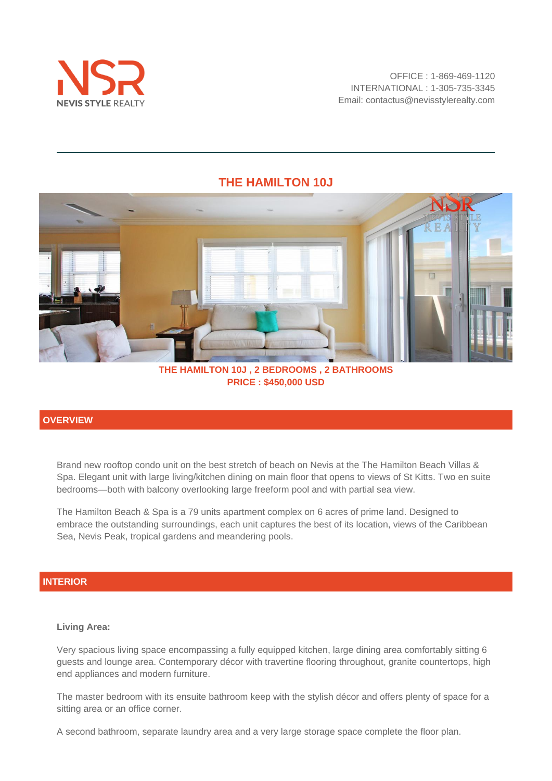

# **THE HAMILTON 10J**



**THE HAMILTON 10J , 2 BEDROOMS , 2 BATHROOMS PRICE : \$450,000 USD**

## **OVERVIEW**

Brand new rooftop condo unit on the best stretch of beach on Nevis at the The Hamilton Beach Villas & Spa. Elegant unit with large living/kitchen dining on main floor that opens to views of St Kitts. Two en suite bedrooms—both with balcony overlooking large freeform pool and with partial sea view.

The Hamilton Beach & Spa is a 79 units apartment complex on 6 acres of prime land. Designed to embrace the outstanding surroundings, each unit captures the best of its location, views of the Caribbean Sea, Nevis Peak, tropical gardens and meandering pools.

## **INTERIOR**

### **Living Area:**

Very spacious living space encompassing a fully equipped kitchen, large dining area comfortably sitting 6 guests and lounge area. Contemporary décor with travertine flooring throughout, granite countertops, high end appliances and modern furniture.

The master bedroom with its ensuite bathroom keep with the stylish décor and offers plenty of space for a sitting area or an office corner.

A second bathroom, separate laundry area and a very large storage space complete the floor plan.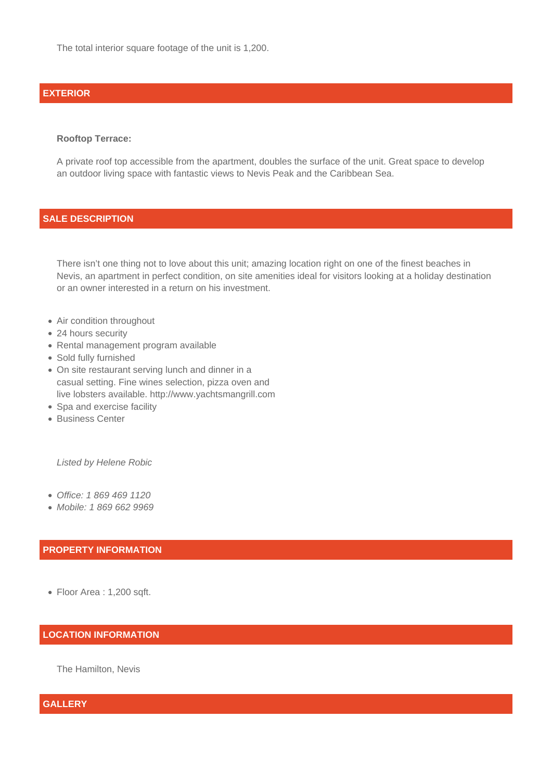The total interior square footage of the unit is 1,200.

### **EXTERIOR**

#### **Rooftop Terrace:**

A private roof top accessible from the apartment, doubles the surface of the unit. Great space to develop an outdoor living space with fantastic views to Nevis Peak and the Caribbean Sea.

### **SALE DESCRIPTION**

There isn't one thing not to love about this unit; amazing location right on one of the finest beaches in Nevis, an apartment in perfect condition, on site amenities ideal for visitors looking at a holiday destination or an owner interested in a return on his investment.

- Air condition throughout
- 24 hours security
- Rental management program available
- Sold fully furnished
- On site restaurant serving lunch and dinner in a casual setting. Fine wines selection, pizza oven and live lobsters available. http://www.yachtsmangrill.com
- Spa and exercise facility
- Business Center

Listed by Helene Robic

- Office: 1 869 469 1120
- Mobile: 1 869 662 9969

### **PROPERTY INFORMATION**

Floor Area : 1,200 sqft.

## **LOCATION INFORMATION**

The Hamilton, Nevis

## **GALLERY**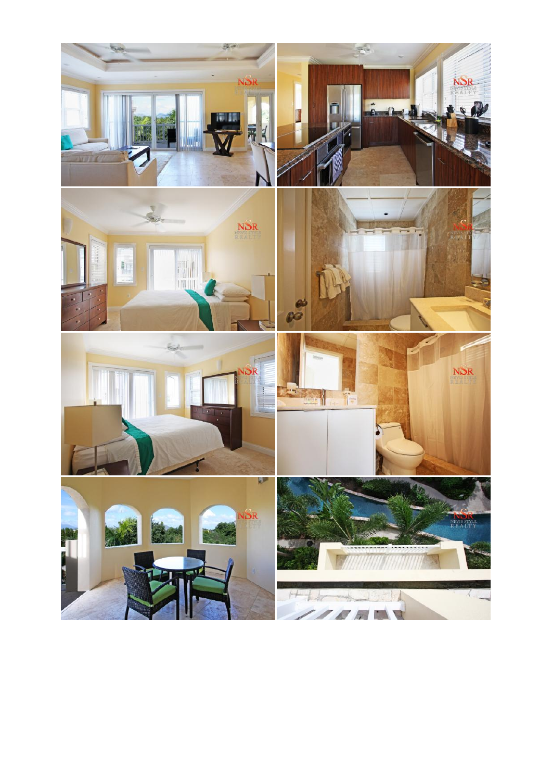